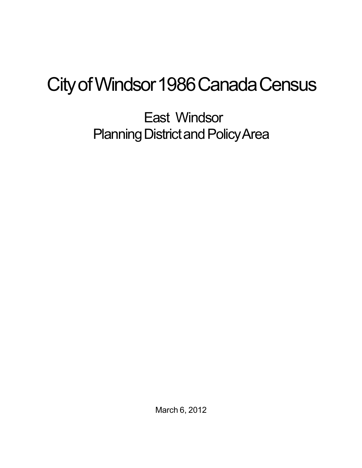## City of Windsor 1986 Canada Census

East Windsor Planning District and Policy Area

March 6, 2012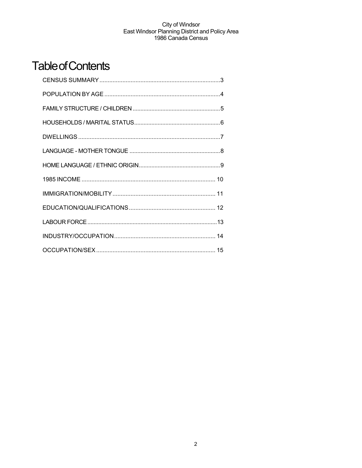## **Table of Contents**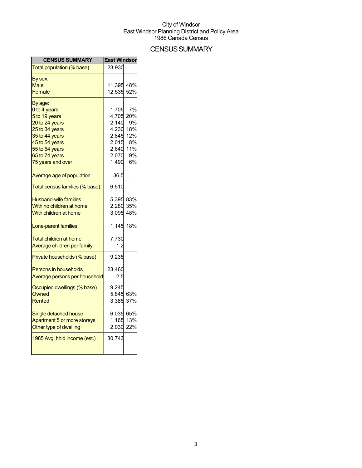## **CENSUS SUMMARY**

| <b>CENSUS SUMMARY</b>          | <b>East Windsor</b> |     |
|--------------------------------|---------------------|-----|
| Total population (% base)      | 23,930              |     |
| By sex:                        |                     |     |
| Male                           | 11,395 48%          |     |
| Female                         | 12,535              | 52% |
| By age:                        |                     |     |
| 0 to 4 years                   | 1,705               | 7%  |
| 5 to 19 years                  | 4,705               | 20% |
| 20 to 24 years                 | 2,140               | 9%  |
| 25 to 34 years                 | 4,230               | 18% |
| 35 to 44 years                 | 2,845               | 12% |
| 45 to 54 years                 | 2,015               | 8%  |
| 55 to 64 years                 | 2,640 11%           |     |
| 65 to 74 years                 | 2,070               | 9%  |
| 75 years and over              | 1,490               | 6%  |
| Average age of population      | 36.5                |     |
| Total census families (% base) | 6,510               |     |
| <b>Husband-wife families</b>   | 5,395 83%           |     |
| With no children at home       | 2,280               | 35% |
| With children at home          | 3,095               | 48% |
| Lone-parent families           | 1,145 18%           |     |
| Total children at home         | 7,730               |     |
| Average children per family    | 1.2                 |     |
| Private households (% base)    | 9,235               |     |
|                                |                     |     |
| <b>Persons in households</b>   | 23,460              |     |
| Average persons per household  | 2.5                 |     |
| Occupied dwellings (% base)    | 9,245               |     |
| Owned                          | 5,845               | 63% |
| Rented                         | 3.385               | 37% |
| Single detached house          | 6,035 65%           |     |
| Apartment 5 or more storeys    | 1,165               | 13% |
| Other type of dwelling         | 2,030               | 22% |
| 1985 Avg. hhld income (est.)   | 30,743              |     |
|                                |                     |     |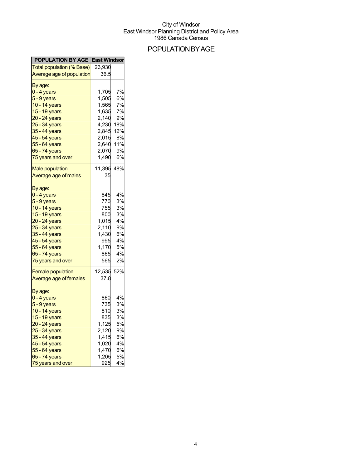## POPULATIONBYAGE

| <b>POPULATION BY AGE East Windson</b> |            |           |
|---------------------------------------|------------|-----------|
| Total population (% Base)             | 23,930     |           |
| Average age of population             | 36.5       |           |
| By age:                               |            |           |
| $0 - 4$ years                         | 1,705      | 7%        |
| 5 - 9 years                           | 1,505      | 6%        |
| 10 - 14 years                         | 1,565      | 7%        |
| 15 - 19 years                         | 1,635      | 7%        |
| 20 - 24 years                         | 2,140      | 9%        |
| 25 - 34 years                         | 4,230      | 18%       |
| 35 - 44 years                         | 2,845      | 12%       |
| 45 - 54 years                         | 2,015      | 8%        |
| 55 - 64 years                         | 2,640      | 11%       |
| 65 - 74 years                         | 2,070      | 9%        |
| 75 years and over                     |            | 6%        |
|                                       | 1,490      |           |
| <b>Male population</b>                | 11,395     | 48%       |
| Average age of males                  | 35         |           |
| By age:                               |            |           |
| 0 - 4 years                           | 845        | 4%        |
| $5 - 9$ years                         | 770        | 3%        |
| 10 - 14 years                         | 755        | 3%        |
| 15 - 19 years                         | 800        | 3%        |
| 20 - 24 years                         |            | 4%        |
|                                       | 1,015      | 9%        |
| 25 - 34 years                         | 2,110      |           |
| 35 - 44 years                         | 1,430      | 6%        |
| 45 - 54 years                         | 995        | 4%        |
| 55 - 64 years                         | 1,170      | 5%        |
| 65 - 74 years                         | 865        | 4%        |
| 75 years and over                     | 565        | 2%        |
| <b>Female population</b>              | 12,535 52% |           |
| Average age of females                | 37.8       |           |
|                                       |            |           |
| By age:                               |            |           |
| $0 - 4$ years                         | 860        | 4%        |
| 5 - 9 years                           | 735        | <b>3%</b> |
| 10 - 14 years                         | 810        | 3%        |
| 15 - 19 years                         | 835        | 3%        |
| 20 - 24 years                         | 1,125      | 5%        |
| 25 - 34 years                         | 2,120      | 9%        |
| 35 - 44 years                         | 1.415      | 6%        |
| 45 - 54 years                         | 1,020      | 4%        |
| 55 - 64 years                         | 1,470      | 6%        |
| 65 - 74 years                         | 1,205      | 5%        |
| 75 years and over                     | 925        | 4%        |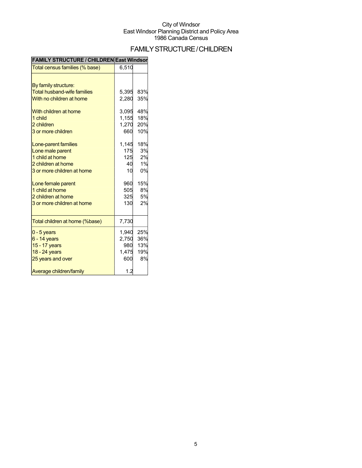## FAMILYSTRUCTURE/CHILDREN

| <b>FAMILY SIRUCTURE / CHILDREN East WINGSON</b> |       |     |
|-------------------------------------------------|-------|-----|
| Total census families (% base)                  | 6,510 |     |
|                                                 |       |     |
| By family structure:                            |       |     |
| <b>Total husband-wife families</b>              | 5,395 | 83% |
| With no children at home                        | 2,280 | 35% |
| With children at home                           | 3,095 | 48% |
| 1 child                                         | 1,155 | 18% |
| 2 children                                      | 1,270 | 20% |
| 3 or more children                              | 660   | 10% |
| Lone-parent families                            | 1,145 | 18% |
| Lone male parent                                | 175   | 3%  |
| 1 child at home                                 | 125   | 2%  |
| 2 children at home                              | 40    | 1%  |
| 3 or more children at home                      | 10    | 0%  |
| Lone female parent                              | 960   | 15% |
| 1 child at home                                 | 505   | 8%  |
| 2 children at home                              | 325   | 5%  |
| 3 or more children at home                      | 130   | 2%  |
| Total children at home (%base)                  | 7,730 |     |
| $0 - 5$ years                                   | 1,940 | 25% |
| $6 - 14$ years                                  | 2,750 | 36% |
| 15 - 17 years                                   | 980   | 13% |
| 18 - 24 years                                   | 1,475 | 19% |
| 25 years and over                               | 600   | 8%  |
| Average children/family                         | 1.2   |     |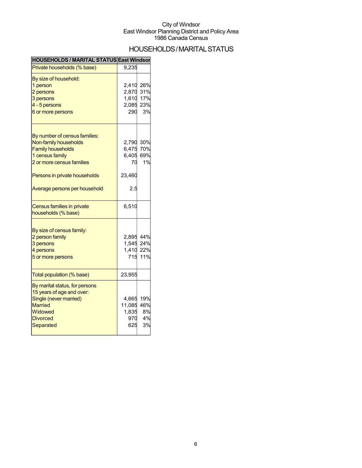## HOUSEHOLDS/MARITAL STATUS

| HOUSEHOLDS / MARITAL STATUS East Windsor          |        |     |
|---------------------------------------------------|--------|-----|
| Private households (% base)                       | 9,235  |     |
| By size of household:                             |        |     |
| 1 person                                          | 2,410  | 26% |
| 2 persons                                         | 2,870  | 31% |
| 3 persons                                         | 1,610  | 17% |
| 4 - 5 persons                                     | 2,085  | 23% |
| 6 or more persons                                 | 290    | 3%  |
| By number of census families:                     |        |     |
| Non-family households                             | 2,790  | 30% |
| <b>Family households</b>                          | 6,475  | 70% |
| 1 census family                                   | 6,405  | 69% |
| 2 or more census families                         | 70     | 1%  |
| Persons in private households                     | 23,460 |     |
| Average persons per household                     | 2.5    |     |
| Census families in private<br>households (% base) | 6,510  |     |
|                                                   |        |     |
| By size of census family:                         |        |     |
| 2 person family                                   | 2,895  | 44% |
| 3 persons                                         | 1,545  | 24% |
| 4 persons                                         | 1,410  | 22% |
| 5 or more persons                                 | 715    | 11% |
| Total population (% base)                         | 23,955 |     |
| By marital status, for persons                    |        |     |
| 15 years of age and over:                         |        |     |
| Single (never married)                            | 4,665  | 19% |
| <b>Married</b>                                    | 11,085 | 46% |
| Widowed                                           | 1,835  | 8%  |
| <b>Divorced</b>                                   | 970    | 4%  |
| Separated                                         | 625    | 3%  |
|                                                   |        |     |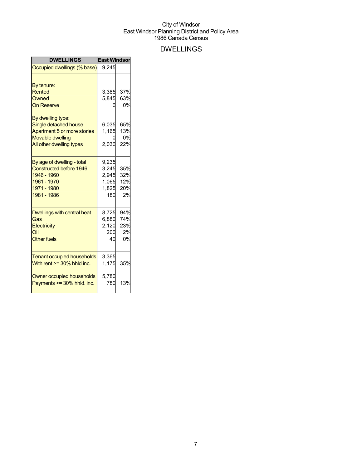## DWELLINGS

| Occupied dwellings (% base)<br>By tenure:<br><b>Rented</b><br>Owned                                                                                   | 9.245<br>3,385<br>5,845                          | 37%                                  |
|-------------------------------------------------------------------------------------------------------------------------------------------------------|--------------------------------------------------|--------------------------------------|
|                                                                                                                                                       |                                                  |                                      |
| <b>On Reserve</b><br>By dwelling type:<br>Single detached house<br>Apartment 5 or more stories<br><b>Movable dwelling</b><br>All other dwelling types | 6,035<br>1,165<br>2,030                          | 63%<br>0%<br>65%<br>13%<br>0%<br>22% |
| By age of dwelling - total<br><b>Constructed before 1946</b><br>1946 - 1960<br>1961 - 1970<br>1971 - 1980<br>1981 - 1986                              | 9,235<br>3,245<br>2,945<br>1,065<br>1,825<br>180 | 35%<br>32%<br>12%<br>20%<br>2%       |
| <b>Dwellings with central heat</b><br>Gas<br>Electricity<br>Oil<br><b>Other fuels</b>                                                                 | 8,725<br>6,880<br>2,120<br>200<br>40             | 94%<br>74%<br>23%<br>2%<br>0%        |
| <b>Tenant occupied households</b><br>With rent $>=$ 30% hhld inc.<br>Owner occupied households<br>Payments >= 30% hhld. inc.                          | 3,365<br>1,175<br>5,780<br>780                   | 35%<br>13%                           |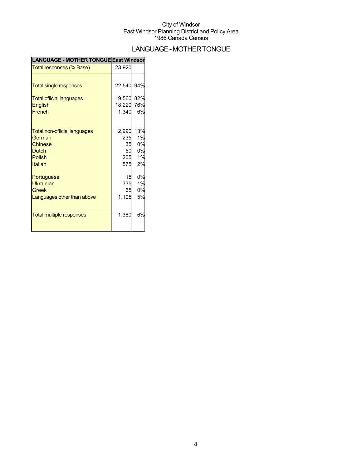## LANGUAGE-MOTHERTONGUE

| <b>LANGUAGE - MOTHER TONGUE East Windsor</b> |            |     |
|----------------------------------------------|------------|-----|
| Total responses (% Base)                     | 23,920     |     |
|                                              |            |     |
| <b>Total single responses</b>                | 22,540 94% |     |
| <b>Total official languages</b>              | 19,560     | 82% |
| <b>English</b>                               | 18,220     | 76% |
| French                                       | 1,340      | 6%  |
| <b>Total non-official languages</b>          | 2,990      | 13% |
| German                                       | 235        | 1%  |
| Chinese                                      | 35         | 0%  |
| <b>Dutch</b>                                 | 50         | 0%  |
| Polish                                       | 205        | 1%  |
| Italian                                      | 575        | 2%  |
| Portuguese                                   | 15         | 0%  |
| <b>Ukrainian</b>                             | 335        | 1%  |
| Greek                                        | 65         | 0%  |
| Languages other than above                   | 1,105      | 5%  |
| <b>Total multiple responses</b>              | 1,380      | 6%  |
|                                              |            |     |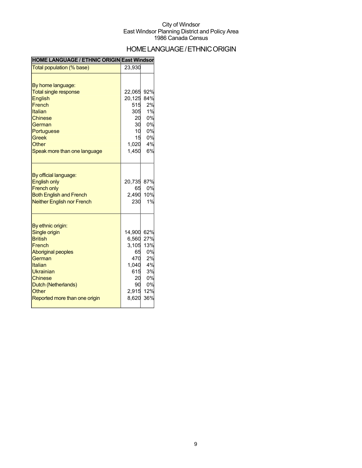## HOME LANGUAGE / ETHNIC ORIGIN

### **HOME LANGUAGE / ETHNIC ORIGIN East Windsor**

| Total population (% base)                                                                                                                                                              | 23,930                                                                     |                                                              |
|----------------------------------------------------------------------------------------------------------------------------------------------------------------------------------------|----------------------------------------------------------------------------|--------------------------------------------------------------|
| By home language:                                                                                                                                                                      |                                                                            |                                                              |
| <b>Total single response</b>                                                                                                                                                           | 22,065                                                                     | 92%                                                          |
| <b>English</b>                                                                                                                                                                         | 20,125                                                                     | 84%                                                          |
| French                                                                                                                                                                                 | 515                                                                        | 2%                                                           |
| Italian                                                                                                                                                                                | 305                                                                        | 1%                                                           |
| <b>Chinese</b>                                                                                                                                                                         | 20                                                                         | 0%                                                           |
| German                                                                                                                                                                                 | 30                                                                         | 0%                                                           |
| Portuguese                                                                                                                                                                             | 10 <sup>°</sup>                                                            | 0%                                                           |
| <b>Greek</b>                                                                                                                                                                           | 15                                                                         | 0%                                                           |
| Other                                                                                                                                                                                  | 1,020                                                                      | 4%                                                           |
| Speak more than one language                                                                                                                                                           | 1,450                                                                      | 6%                                                           |
| By official language:<br><b>English only</b><br><b>French only</b><br><b>Both English and French</b><br><b>Neither English nor French</b>                                              | 20,735<br>65<br>2,490<br>230                                               | 87%<br>0%<br>10%<br>1%                                       |
| By ethnic origin:<br>Single origin<br><b>British</b><br>French<br><b>Aboriginal peoples</b><br>German<br><b>Italian</b><br>Ukrainian<br><b>Chinese</b><br>Dutch (Netherlands)<br>Other | 14,900<br>6,560<br>3,105<br>65<br>470<br>1,040<br>615<br>20<br>90<br>2.915 | 62%<br>27%<br>13%<br>0%<br>2%<br>4%<br>3%<br>0%<br>0%<br>12% |
| Reported more than one origin                                                                                                                                                          | 8,620                                                                      | 36%                                                          |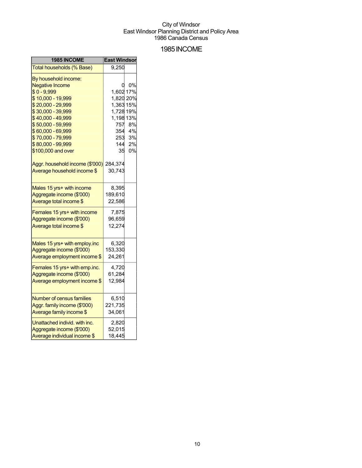### 1985INCOME

| 1985 INCOME                      | <b>East Windsor</b> |        |
|----------------------------------|---------------------|--------|
| Total households (% Base)        | 9,250               |        |
| By household income:             |                     |        |
| <b>Negative Income</b>           | 0                   | 0%     |
| $$0 - 9,999$                     | 1,602 17%           |        |
| \$10,000 - 19,999                | 1,820 20%           |        |
| \$20,000 - 29,999                | 1,363 15%           |        |
| \$30,000 - 39,999                | 1,728 19%           |        |
| \$40,000 - 49,999                | 1,198 13%           |        |
| \$50,000 - 59,999                | 757                 | 8%     |
| \$60,000 - 69,999                |                     | 354 4% |
| \$70,000 - 79,999                | 253                 | 3%     |
| \$80,000 - 99,999                | 144                 | 2%     |
| \$100,000 and over               | 35                  | 0%     |
| Aggr. household income (\$'000)  | 284,374             |        |
| Average household income \$      | 30,743              |        |
|                                  |                     |        |
| Males 15 yrs+ with income        | 8,395               |        |
| Aggregate income (\$'000)        | 189,610             |        |
| Average total income \$          | 22,586              |        |
| Females 15 yrs+ with income      | 7,875               |        |
| Aggregate income (\$'000)        | 96,659              |        |
| Average total income \$          | 12,274              |        |
|                                  |                     |        |
| Males 15 yrs+ with employ.inc    | 6,320               |        |
| Aggregate income (\$'000)        | 153,330             |        |
| Average employment income \$     | 24,261              |        |
| Females 15 yrs+ with emp.inc.    | 4,720               |        |
| Aggregate income (\$'000)        | 61,284              |        |
| Average employment income \$     | 12,984              |        |
|                                  |                     |        |
| <b>Number of census families</b> | 6,510               |        |
| Aggr. family income (\$'000)     | 221,735             |        |
| Average family income \$         | 34,061              |        |
| Unattached individ. with inc.    | 2,820               |        |
| Aggregate income (\$'000)        | 52,015              |        |
| Average individual income \$     | 18,445              |        |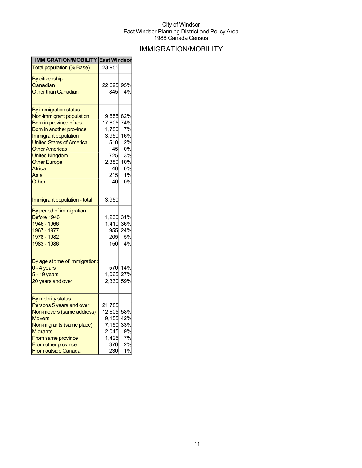## IMMIGRATION/MOBILITY

| <b>IMMIGRATION/MOBILITY East Windson</b> |            |     |
|------------------------------------------|------------|-----|
| Total population (% Base)                | 23,955     |     |
| By citizenship:                          |            |     |
| Canadian                                 | 22,695 95% |     |
| <b>Other than Canadian</b>               | 845        | 4%  |
|                                          |            |     |
| By immigration status:                   |            |     |
| Non-immigrant population                 | 19,555     | 82% |
| Born in province of res.                 | 17,805     | 74% |
| Born in another province                 | 1,780      | 7%  |
| Immigrant population                     | 3,950      | 16% |
| <b>United States of America</b>          | 510        | 2%  |
| <b>Other Americas</b>                    | 45         | 0%  |
| <b>United Kingdom</b>                    | 725        | 3%  |
| <b>Other Europe</b>                      | 2,380      | 10% |
| <b>Africa</b>                            | 40         | 0%  |
| Asia                                     | 215        | 1%  |
| Other                                    | 40         | 0%  |
|                                          |            |     |
| Immigrant population - total             | 3,950      |     |
| By period of immigration:                |            |     |
| Before 1946                              | 1,230 31%  |     |
| 1946 - 1966                              | 1,410      | 36% |
| 1967 - 1977                              | 955        | 24% |
| 1978 - 1982                              | 205        | 5%  |
| 1983 - 1986                              | 150        | 4%  |
|                                          |            |     |
| By age at time of immigration:           |            |     |
| $0 - 4$ years                            | 570        | 14% |
| 5 - 19 years                             | 1,065      | 27% |
| 20 years and over                        | 2,330      | 59% |
|                                          |            |     |
| By mobility status:                      |            |     |
| Persons 5 years and over                 | 21,785     |     |
| Non-movers (same address)                | 12,605     | 58% |
| <b>Movers</b>                            | 9,155 42%  |     |
| Non-migrants (same place)                | 7,150      | 33% |
| <b>Migrants</b>                          | 2,045      | 9%  |
| From same province                       | 1,425      | 7%  |
| From other province                      | 370        | 2%  |
| <b>From outside Canada</b>               | 230        | 1%  |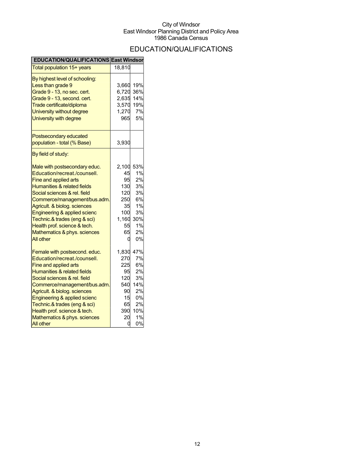## EDUCATION/QUALIFICATIONS

| <b>EDUCATION/QUALIFICATIONS East Windsor</b>                                                                                                                                                                                                                                                                                                                      |                                                                               |                                                                         |
|-------------------------------------------------------------------------------------------------------------------------------------------------------------------------------------------------------------------------------------------------------------------------------------------------------------------------------------------------------------------|-------------------------------------------------------------------------------|-------------------------------------------------------------------------|
| Total population 15+ years                                                                                                                                                                                                                                                                                                                                        | 18,810                                                                        |                                                                         |
| By highest level of schooling:<br>Less than grade 9<br>Grade 9 - 13, no sec. cert.<br>Grade 9 - 13, second. cert.<br>Trade certificate/diploma<br>University without degree<br>University with degree                                                                                                                                                             | 3,660<br>6,720<br>2,635<br>3,570<br>1,270<br>965                              | 19%<br>36%<br>14%<br>19%<br>7%<br>5%                                    |
| Postsecondary educated<br>population - total (% Base)                                                                                                                                                                                                                                                                                                             | 3,930                                                                         |                                                                         |
| By field of study:                                                                                                                                                                                                                                                                                                                                                |                                                                               |                                                                         |
| Male with postsecondary educ.<br>Education/recreat./counsell.<br>Fine and applied arts<br>Humanities & related fields<br>Social sciences & rel. field<br>Commerce/management/bus.adm<br>Agricult. & biolog. sciences<br>Engineering & applied scienc<br>Technic.& trades (eng & sci)<br>Health prof. science & tech.<br>Mathematics & phys. sciences<br>All other | 2,100<br>45<br>95<br>130<br>120<br>250<br>35<br>100<br>1,160<br>55<br>65<br>U | 53%<br>1%<br>2%<br>3%<br>3%<br>6%<br>1%<br>3%<br>30%<br>1%<br>2%<br>0%  |
| Female with postsecond. educ.<br>Education/recreat./counsell.<br>Fine and applied arts<br>Humanities & related fields<br>Social sciences & rel. field<br>Commerce/management/bus.adm<br>Agricult. & biolog. sciences<br>Engineering & applied scienc<br>Technic.& trades (eng & sci)<br>Health prof. science & tech.<br>Mathematics & phys. sciences<br>All other | 1,830<br>270<br>225<br>95<br>120<br>540<br>90<br>15<br>65<br>390<br>20<br>0   | 47%<br>7%<br>6%<br>2%<br>3%<br>14%<br>2%<br>0%<br>2%<br>10%<br>1%<br>0% |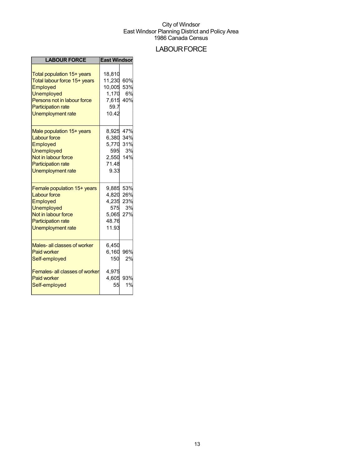## **LABOUR FORCE**

| <b>LABOUR FORCE</b>                                                                                                                                                                 | <b>East Windson</b>                                               |                         |
|-------------------------------------------------------------------------------------------------------------------------------------------------------------------------------------|-------------------------------------------------------------------|-------------------------|
| Total population 15+ years<br>Total labour force 15+ years<br>Employed<br><b>Unemployed</b><br>Persons not in labour force<br><b>Participation rate</b><br><b>Unemployment rate</b> | 18,810<br>11,230<br>10,005<br>1.170<br>7,615<br>59.7<br>10.42     | 60%<br>53%<br>6%<br>40% |
| Male population 15+ years<br><b>Labour force</b><br>Employed<br><b>Unemployed</b><br>Not in labour force<br><b>Participation rate</b><br>Unemployment rate                          | 8,925<br>6,380 34%<br>5,770<br>595<br>2,550<br>71.48<br>9.33      | 47%<br>31%<br>3%<br>14% |
| Female population 15+ years<br><b>Labour force</b><br>Employed<br><b>Unemployed</b><br>Not in labour force<br><b>Participation rate</b><br><b>Unemployment rate</b>                 | 9,885<br>4,820 26%<br>4,235 23%<br>575<br>5,065<br>48.76<br>11.93 | 53%<br>3%<br>27%        |
| Males- all classes of worker<br><b>Paid worker</b><br>Self-employed                                                                                                                 | 6,450<br>6,160<br>150                                             | 96%<br>2%               |
| Females- all classes of worker<br><b>Paid worker</b><br>Self-employed                                                                                                               | 4,975<br>4,605<br>55                                              | 93%<br>1%               |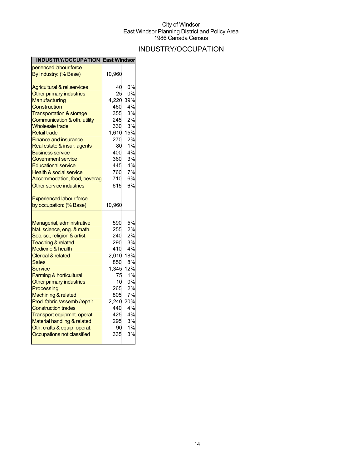## INDUSTRY/OCCUPATION

| <b>INDUSTRY/OCCUPATION East Windsor</b> |        |     |
|-----------------------------------------|--------|-----|
| perienced labour force                  |        |     |
| By Industry: (% Base)                   | 10,960 |     |
| <b>Agricultural &amp; rel.services</b>  | 40     | 0%  |
| Other primary industries                | 25     | 0%  |
| Manufacturing                           | 4,220  | 39% |
| Construction                            | 460    | 4%  |
| <b>Transportation &amp; storage</b>     | 355    | 3%  |
| Communication & oth. utility            | 245    | 2%  |
| <b>Wholesale trade</b>                  | 330    | 3%  |
| <b>Retail trade</b>                     | 1,610  | 15% |
| <b>Finance and insurance</b>            | 270    | 2%  |
| Real estate & insur. agents             | 80     | 1%  |
| <b>Business service</b>                 | 400    | 4%  |
| Government service                      | 360    | 3%  |
| <b>Educational service</b>              | 445    | 4%  |
| <b>Health &amp; social service</b>      | 760    | 7%  |
| Accommodation, food, beverag            | 710    | 6%  |
| Other service industries                | 615    | 6%  |
|                                         |        |     |
| <b>Experienced labour force</b>         |        |     |
| by occupation: (% Base)                 | 10,960 |     |
|                                         |        |     |
|                                         |        |     |
| Managerial, administrative              | 590    | 5%  |
| Nat. science, eng. & math.              | 255    | 2%  |
| Soc. sc., religion & artist.            | 240    | 2%  |
| <b>Teaching &amp; related</b>           | 290    | 3%  |
| <b>Medicine &amp; health</b>            | 410    | 4%  |
| <b>Clerical &amp; related</b>           | 2,010  | 18% |
| Sales                                   | 850    | 8%  |
| Service                                 | 1,345  | 12% |
| <b>Farming &amp; horticultural</b>      | 75     | 1%  |
| Other primary industries                | 10     | 0%  |
| Processing                              | 265    | 2%  |
| Machining & related                     | 805    | 7%  |
| Prod. fabric./assemb./repair            | 2,240  | 20% |
| <b>Construction trades</b>              | 440    | 4%  |
| Transport equipmnt. operat.             | 425    | 4%  |
| Material handling & related             | 295    | 3%  |
| Oth. crafts & equip. operat.            | 90.    | 1%  |
| Occupations not classified              | 335    | 3%  |